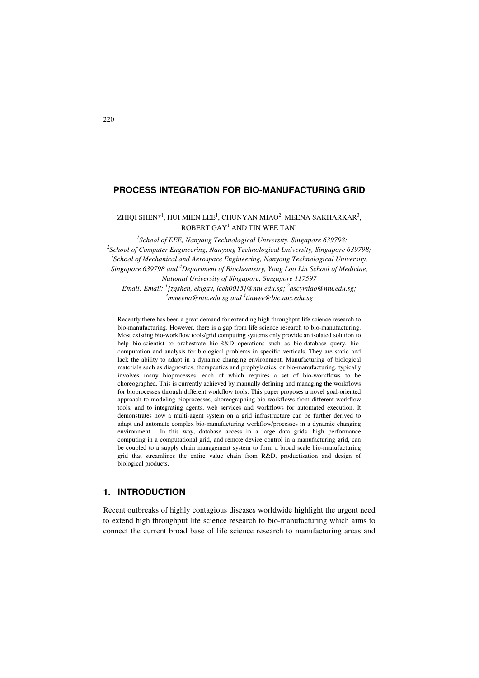# **PROCESS INTEGRATION FOR BIO-MANUFACTURING GRID**

## ZHIQI SHEN $^{\ast1}$ , HUI MIEN LEE $^{\rm1}$ , CHUNYAN MIAO $^{\rm2}$ , MEENA SAKHARKAR $^{\rm3}$ , ROBERT GAY<sup>1</sup> AND TIN WEE TAN<sup>4</sup>

*1 School of EEE, Nanyang Technological University, Singapore 639798; 2 School of Computer Engineering, Nanyang Technological University, Singapore 639798; 3 School of Mechanical and Aerospace Engineering, Nanyang Technological University, Singapore 639798 and <sup>4</sup>Department of Biochemistry, Yong Loo Lin School of Medicine, National University of Singapore, Singapore 117597 Email: Email: <sup>1</sup> {zqshen, eklgay, leeh0015}@ntu.edu.sg; <sup>2</sup> ascymiao@ntu.edu.sg; <sup>3</sup>mmeena@ntu.edu.sg and <sup>4</sup> tinwee@bic.nus.edu.sg* 

Recently there has been a great demand for extending high throughput life science research to bio-manufacturing. However, there is a gap from life science research to bio-manufacturing. Most existing bio-workflow tools/grid computing systems only provide an isolated solution to help bio-scientist to orchestrate bio-R&D operations such as bio-database query, biocomputation and analysis for biological problems in specific verticals. They are static and lack the ability to adapt in a dynamic changing environment. Manufacturing of biological materials such as diagnostics, therapeutics and prophylactics, or bio-manufacturing, typically involves many bioprocesses, each of which requires a set of bio-workflows to be choreographed. This is currently achieved by manually defining and managing the workflows for bioprocesses through different workflow tools. This paper proposes a novel goal-oriented approach to modeling bioprocesses, choreographing bio-workflows from different workflow tools, and to integrating agents, web services and workflows for automated execution. It demonstrates how a multi-agent system on a grid infrastructure can be further derived to adapt and automate complex bio-manufacturing workflow/processes in a dynamic changing environment. In this way, database access in a large data grids, high performance computing in a computational grid, and remote device control in a manufacturing grid, can be coupled to a supply chain management system to form a broad scale bio-manufacturing grid that streamlines the entire value chain from R&D, productisation and design of biological products.

# **1. INTRODUCTION**

Recent outbreaks of highly contagious diseases worldwide highlight the urgent need to extend high throughput life science research to bio-manufacturing which aims to connect the current broad base of life science research to manufacturing areas and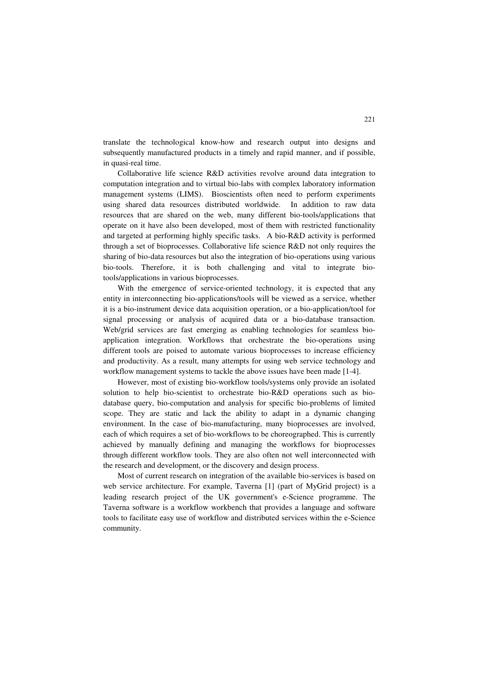translate the technological know-how and research output into designs and subsequently manufactured products in a timely and rapid manner, and if possible, in quasi-real time.

Collaborative life science R&D activities revolve around data integration to computation integration and to virtual bio-labs with complex laboratory information management systems (LIMS). Bioscientists often need to perform experiments using shared data resources distributed worldwide. In addition to raw data resources that are shared on the web, many different bio-tools/applications that operate on it have also been developed, most of them with restricted functionality and targeted at performing highly specific tasks. A bio-R&D activity is performed through a set of bioprocesses. Collaborative life science R&D not only requires the sharing of bio-data resources but also the integration of bio-operations using various bio-tools. Therefore, it is both challenging and vital to integrate biotools/applications in various bioprocesses.

With the emergence of service-oriented technology, it is expected that any entity in interconnecting bio-applications/tools will be viewed as a service, whether it is a bio-instrument device data acquisition operation, or a bio-application/tool for signal processing or analysis of acquired data or a bio-database transaction. Web/grid services are fast emerging as enabling technologies for seamless bioapplication integration. Workflows that orchestrate the bio-operations using different tools are poised to automate various bioprocesses to increase efficiency and productivity. As a result, many attempts for using web service technology and workflow management systems to tackle the above issues have been made [1-4].

However, most of existing bio-workflow tools/systems only provide an isolated solution to help bio-scientist to orchestrate bio-R&D operations such as biodatabase query, bio-computation and analysis for specific bio-problems of limited scope. They are static and lack the ability to adapt in a dynamic changing environment. In the case of bio-manufacturing, many bioprocesses are involved, each of which requires a set of bio-workflows to be choreographed. This is currently achieved by manually defining and managing the workflows for bioprocesses through different workflow tools. They are also often not well interconnected with the research and development, or the discovery and design process.

Most of current research on integration of the available bio-services is based on web service architecture. For example, Taverna [1] (part of MyGrid project) is a leading research project of the UK government's e-Science programme. The Taverna software is a workflow workbench that provides a language and software tools to facilitate easy use of workflow and distributed services within the e-Science community.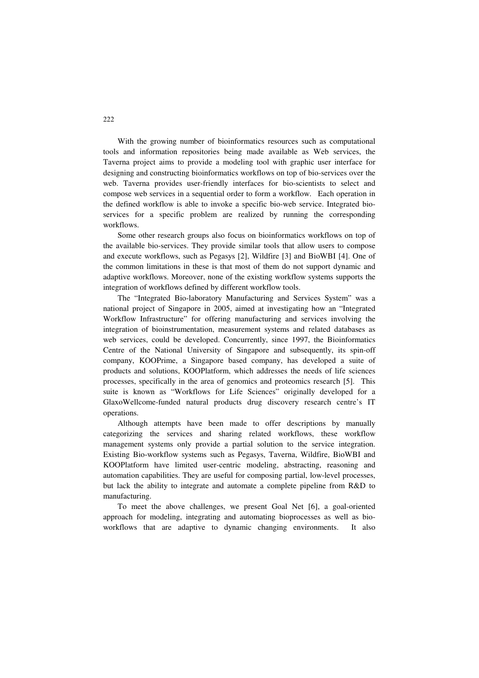With the growing number of bioinformatics resources such as computational tools and information repositories being made available as Web services, the Taverna project aims to provide a modeling tool with graphic user interface for designing and constructing bioinformatics workflows on top of bio-services over the web. Taverna provides user-friendly interfaces for bio-scientists to select and compose web services in a sequential order to form a workflow. Each operation in the defined workflow is able to invoke a specific bio-web service. Integrated bioservices for a specific problem are realized by running the corresponding workflows.

Some other research groups also focus on bioinformatics workflows on top of the available bio-services. They provide similar tools that allow users to compose and execute workflows, such as Pegasys [2], Wildfire [3] and BioWBI [4]. One of the common limitations in these is that most of them do not support dynamic and adaptive workflows. Moreover, none of the existing workflow systems supports the integration of workflows defined by different workflow tools.

The "Integrated Bio-laboratory Manufacturing and Services System" was a national project of Singapore in 2005, aimed at investigating how an "Integrated Workflow Infrastructure" for offering manufacturing and services involving the integration of bioinstrumentation, measurement systems and related databases as web services, could be developed. Concurrently, since 1997, the Bioinformatics Centre of the National University of Singapore and subsequently, its spin-off company, KOOPrime, a Singapore based company, has developed a suite of products and solutions, KOOPlatform, which addresses the needs of life sciences processes, specifically in the area of genomics and proteomics research [5]. This suite is known as "Workflows for Life Sciences" originally developed for a GlaxoWellcome-funded natural products drug discovery research centre's IT operations.

Although attempts have been made to offer descriptions by manually categorizing the services and sharing related workflows, these workflow management systems only provide a partial solution to the service integration. Existing Bio-workflow systems such as Pegasys, Taverna, Wildfire, BioWBI and KOOPlatform have limited user-centric modeling, abstracting, reasoning and automation capabilities. They are useful for composing partial, low-level processes, but lack the ability to integrate and automate a complete pipeline from R&D to manufacturing.

To meet the above challenges, we present Goal Net [6], a goal-oriented approach for modeling, integrating and automating bioprocesses as well as bioworkflows that are adaptive to dynamic changing environments. It also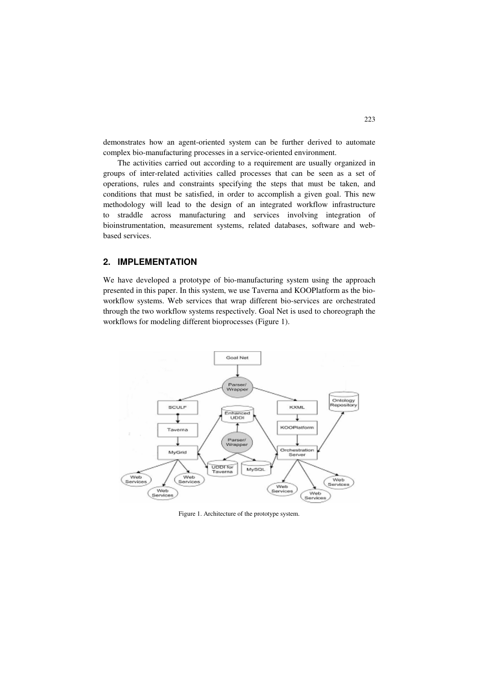demonstrates how an agent-oriented system can be further derived to automate complex bio-manufacturing processes in a service-oriented environment.

The activities carried out according to a requirement are usually organized in groups of inter-related activities called processes that can be seen as a set of operations, rules and constraints specifying the steps that must be taken, and conditions that must be satisfied, in order to accomplish a given goal. This new methodology will lead to the design of an integrated workflow infrastructure to straddle across manufacturing and services involving integration of bioinstrumentation, measurement systems, related databases, software and webbased services.

## **2. IMPLEMENTATION**

We have developed a prototype of bio-manufacturing system using the approach presented in this paper. In this system, we use Taverna and KOOPlatform as the bioworkflow systems. Web services that wrap different bio-services are orchestrated through the two workflow systems respectively. Goal Net is used to choreograph the workflows for modeling different bioprocesses (Figure 1).



Figure 1. Architecture of the prototype system.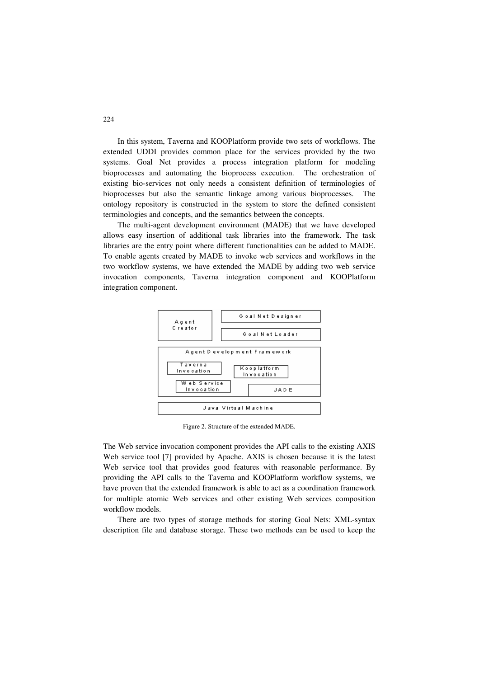In this system, Taverna and KOOPlatform provide two sets of workflows. The extended UDDI provides common place for the services provided by the two systems. Goal Net provides a process integration platform for modeling bioprocesses and automating the bioprocess execution. The orchestration of existing bio-services not only needs a consistent definition of terminologies of bioprocesses but also the semantic linkage among various bioprocesses. The ontology repository is constructed in the system to store the defined consistent terminologies and concepts, and the semantics between the concepts.

The multi-agent development environment (MADE) that we have developed allows easy insertion of additional task libraries into the framework. The task libraries are the entry point where different functionalities can be added to MADE. To enable agents created by MADE to invoke web services and workflows in the two workflow systems, we have extended the MADE by adding two web service invocation components, Taverna integration component and KOOPlatform integration component.



Figure 2. Structure of the extended MADE.

The Web service invocation component provides the API calls to the existing AXIS Web service tool [7] provided by Apache. AXIS is chosen because it is the latest Web service tool that provides good features with reasonable performance. By providing the API calls to the Taverna and KOOPlatform workflow systems, we have proven that the extended framework is able to act as a coordination framework for multiple atomic Web services and other existing Web services composition workflow models.

There are two types of storage methods for storing Goal Nets: XML-syntax description file and database storage. These two methods can be used to keep the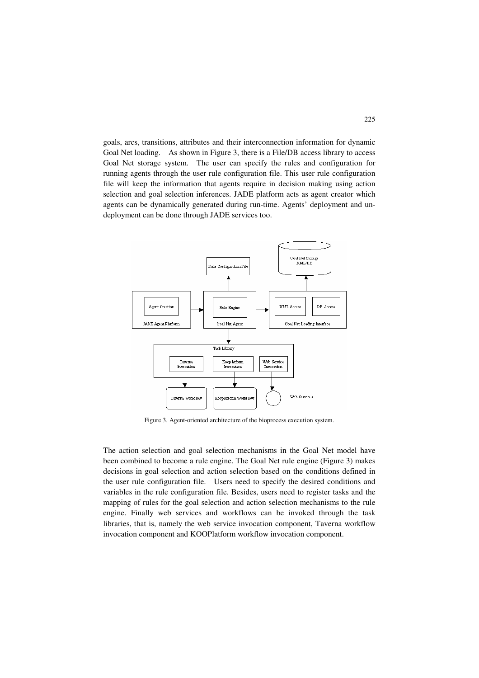goals, arcs, transitions, attributes and their interconnection information for dynamic Goal Net loading. As shown in Figure 3, there is a File/DB access library to access Goal Net storage system. The user can specify the rules and configuration for running agents through the user rule configuration file. This user rule configuration file will keep the information that agents require in decision making using action selection and goal selection inferences. JADE platform acts as agent creator which agents can be dynamically generated during run-time. Agents' deployment and undeployment can be done through JADE services too.



Figure 3. Agent-oriented architecture of the bioprocess execution system.

The action selection and goal selection mechanisms in the Goal Net model have been combined to become a rule engine. The Goal Net rule engine (Figure 3) makes decisions in goal selection and action selection based on the conditions defined in the user rule configuration file. Users need to specify the desired conditions and variables in the rule configuration file. Besides, users need to register tasks and the mapping of rules for the goal selection and action selection mechanisms to the rule engine. Finally web services and workflows can be invoked through the task libraries, that is, namely the web service invocation component, Taverna workflow invocation component and KOOPlatform workflow invocation component.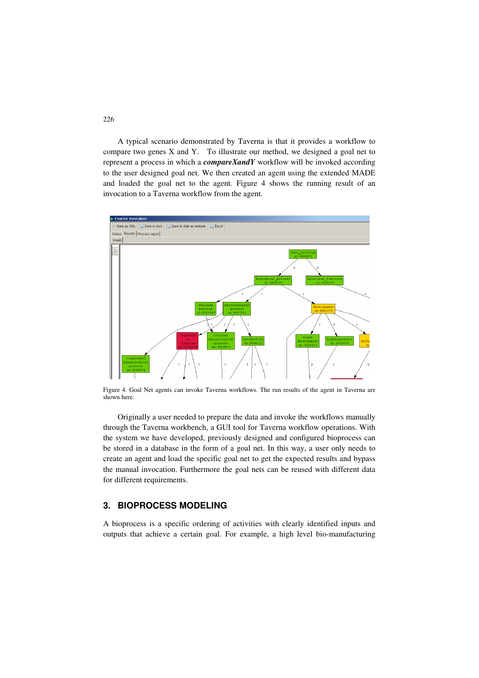A typical scenario demonstrated by Taverna is that it provides a workflow to compare two genes X and Y. To illustrate our method, we designed a goal net to represent a process in which a *compareXandY* workflow will be invoked according to the user designed goal net. We then created an agent using the extended MADE and loaded the goal net to the agent. Figure 4 shows the running result of an invocation to a Taverna workflow from the agent.



Figure 4. Goal Net agents can invoke Taverna workflows. The run results of the agent in Taverna are shown here.

Originally a user needed to prepare the data and invoke the workflows manually through the Taverna workbench, a GUI tool for Taverna workflow operations. With the system we have developed, previously designed and configured bioprocess can be stored in a database in the form of a goal net. In this way, a user only needs to create an agent and load the specific goal net to get the expected results and bypass the manual invocation. Furthermore the goal nets can be reused with different data for different requirements.

# **3. BIOPROCESS MODELING**

A bioprocess is a specific ordering of activities with clearly identified inputs and outputs that achieve a certain goal. For example, a high level bio-manufacturing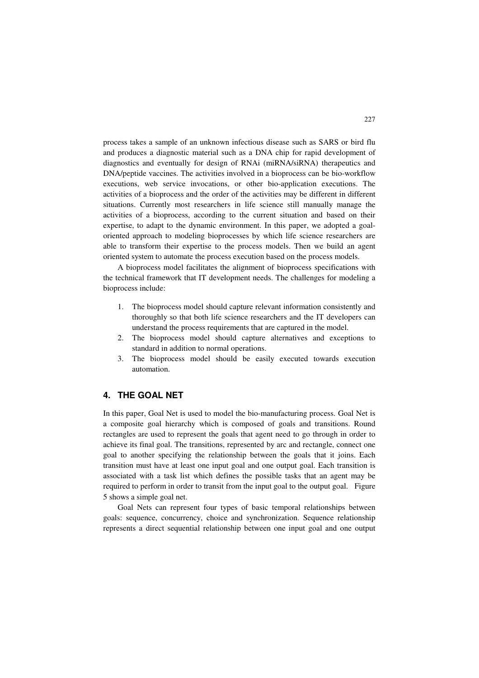process takes a sample of an unknown infectious disease such as SARS or bird flu and produces a diagnostic material such as a DNA chip for rapid development of diagnostics and eventually for design of RNAi (miRNA/siRNA) therapeutics and DNA/peptide vaccines. The activities involved in a bioprocess can be bio-workflow executions, web service invocations, or other bio-application executions. The activities of a bioprocess and the order of the activities may be different in different situations. Currently most researchers in life science still manually manage the activities of a bioprocess, according to the current situation and based on their expertise, to adapt to the dynamic environment. In this paper, we adopted a goaloriented approach to modeling bioprocesses by which life science researchers are able to transform their expertise to the process models. Then we build an agent oriented system to automate the process execution based on the process models.

A bioprocess model facilitates the alignment of bioprocess specifications with the technical framework that IT development needs. The challenges for modeling a bioprocess include:

- 1. The bioprocess model should capture relevant information consistently and thoroughly so that both life science researchers and the IT developers can understand the process requirements that are captured in the model.
- 2. The bioprocess model should capture alternatives and exceptions to standard in addition to normal operations.
- 3. The bioprocess model should be easily executed towards execution automation.

# **4. THE GOAL NET**

In this paper, Goal Net is used to model the bio-manufacturing process. Goal Net is a composite goal hierarchy which is composed of goals and transitions. Round rectangles are used to represent the goals that agent need to go through in order to achieve its final goal. The transitions, represented by arc and rectangle, connect one goal to another specifying the relationship between the goals that it joins. Each transition must have at least one input goal and one output goal. Each transition is associated with a task list which defines the possible tasks that an agent may be required to perform in order to transit from the input goal to the output goal. Figure 5 shows a simple goal net.

Goal Nets can represent four types of basic temporal relationships between goals: sequence, concurrency, choice and synchronization. Sequence relationship represents a direct sequential relationship between one input goal and one output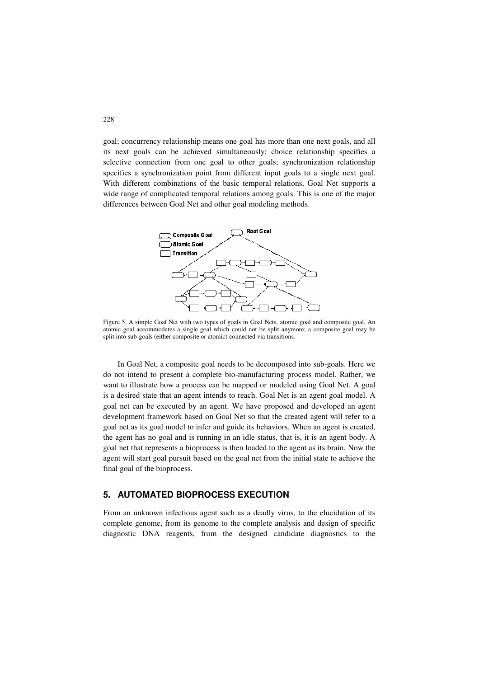goal; concurrency relationship means one goal has more than one next goals, and all its next goals can be achieved simultaneously; choice relationship specifies a selective connection from one goal to other goals; synchronization relationship specifies a synchronization point from different input goals to a single next goal. With different combinations of the basic temporal relations, Goal Net supports a wide range of complicated temporal relations among goals. This is one of the major differences between Goal Net and other goal modeling methods.



Figure 5. A simple Goal Net with two types of goals in Goal Nets, atomic goal and composite goal. An atomic goal accommodates a single goal which could not be split anymore; a composite goal may be split into sub-goals (either composite or atomic) connected via transitions.

In Goal Net, a composite goal needs to be decomposed into sub-goals. Here we do not intend to present a complete bio-manufacturing process model. Rather, we want to illustrate how a process can be mapped or modeled using Goal Net. A goal is a desired state that an agent intends to reach. Goal Net is an agent goal model. A goal net can be executed by an agent. We have proposed and developed an agent development framework based on Goal Net so that the created agent will refer to a goal net as its goal model to infer and guide its behaviors. When an agent is created, the agent has no goal and is running in an idle status, that is, it is an agent body. A goal net that represents a bioprocess is then loaded to the agent as its brain. Now the agent will start goal pursuit based on the goal net from the initial state to achieve the final goal of the bioprocess.

### **5. AUTOMATED BIOPROCESS EXECUTION**

From an unknown infectious agent such as a deadly virus, to the elucidation of its complete genome, from its genome to the complete analysis and design of specific diagnostic DNA reagents, from the designed candidate diagnostics to the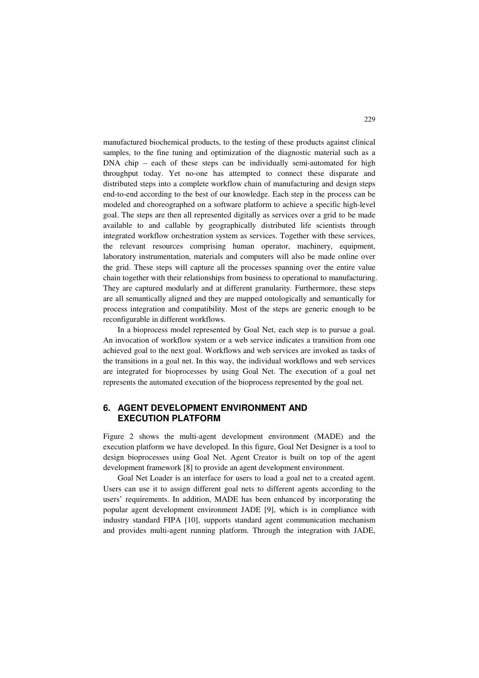manufactured biochemical products, to the testing of these products against clinical samples, to the fine tuning and optimization of the diagnostic material such as a DNA chip – each of these steps can be individually semi-automated for high throughput today. Yet no-one has attempted to connect these disparate and distributed steps into a complete workflow chain of manufacturing and design steps end-to-end according to the best of our knowledge. Each step in the process can be modeled and choreographed on a software platform to achieve a specific high-level goal. The steps are then all represented digitally as services over a grid to be made available to and callable by geographically distributed life scientists through integrated workflow orchestration system as services. Together with these services, the relevant resources comprising human operator, machinery, equipment, laboratory instrumentation, materials and computers will also be made online over the grid. These steps will capture all the processes spanning over the entire value chain together with their relationships from business to operational to manufacturing. They are captured modularly and at different granularity. Furthermore, these steps are all semantically aligned and they are mapped ontologically and semantically for process integration and compatibility. Most of the steps are generic enough to be reconfigurable in different workflows.

In a bioprocess model represented by Goal Net, each step is to pursue a goal. An invocation of workflow system or a web service indicates a transition from one achieved goal to the next goal. Workflows and web services are invoked as tasks of the transitions in a goal net. In this way, the individual workflows and web services are integrated for bioprocesses by using Goal Net. The execution of a goal net represents the automated execution of the bioprocess represented by the goal net.

## **6. AGENT DEVELOPMENT ENVIRONMENT AND EXECUTION PLATFORM**

Figure 2 shows the multi-agent development environment (MADE) and the execution platform we have developed. In this figure, Goal Net Designer is a tool to design bioprocesses using Goal Net. Agent Creator is built on top of the agent development framework [8] to provide an agent development environment.

Goal Net Loader is an interface for users to load a goal net to a created agent. Users can use it to assign different goal nets to different agents according to the users' requirements. In addition, MADE has been enhanced by incorporating the popular agent development environment JADE [9], which is in compliance with industry standard FIPA [10], supports standard agent communication mechanism and provides multi-agent running platform. Through the integration with JADE,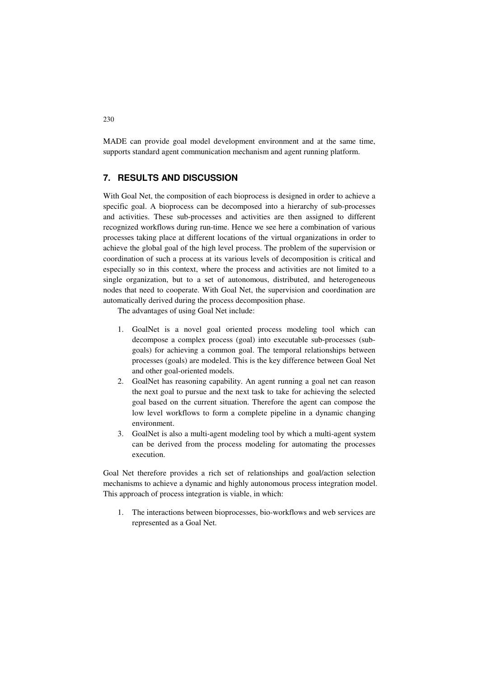MADE can provide goal model development environment and at the same time, supports standard agent communication mechanism and agent running platform.

## **7. RESULTS AND DISCUSSION**

With Goal Net, the composition of each bioprocess is designed in order to achieve a specific goal. A bioprocess can be decomposed into a hierarchy of sub-processes and activities. These sub-processes and activities are then assigned to different recognized workflows during run-time. Hence we see here a combination of various processes taking place at different locations of the virtual organizations in order to achieve the global goal of the high level process. The problem of the supervision or coordination of such a process at its various levels of decomposition is critical and especially so in this context, where the process and activities are not limited to a single organization, but to a set of autonomous, distributed, and heterogeneous nodes that need to cooperate. With Goal Net, the supervision and coordination are automatically derived during the process decomposition phase.

The advantages of using Goal Net include:

- 1. GoalNet is a novel goal oriented process modeling tool which can decompose a complex process (goal) into executable sub-processes (subgoals) for achieving a common goal. The temporal relationships between processes (goals) are modeled. This is the key difference between Goal Net and other goal-oriented models.
- 2. GoalNet has reasoning capability. An agent running a goal net can reason the next goal to pursue and the next task to take for achieving the selected goal based on the current situation. Therefore the agent can compose the low level workflows to form a complete pipeline in a dynamic changing environment.
- 3. GoalNet is also a multi-agent modeling tool by which a multi-agent system can be derived from the process modeling for automating the processes execution.

Goal Net therefore provides a rich set of relationships and goal/action selection mechanisms to achieve a dynamic and highly autonomous process integration model. This approach of process integration is viable, in which:

1. The interactions between bioprocesses, bio-workflows and web services are represented as a Goal Net.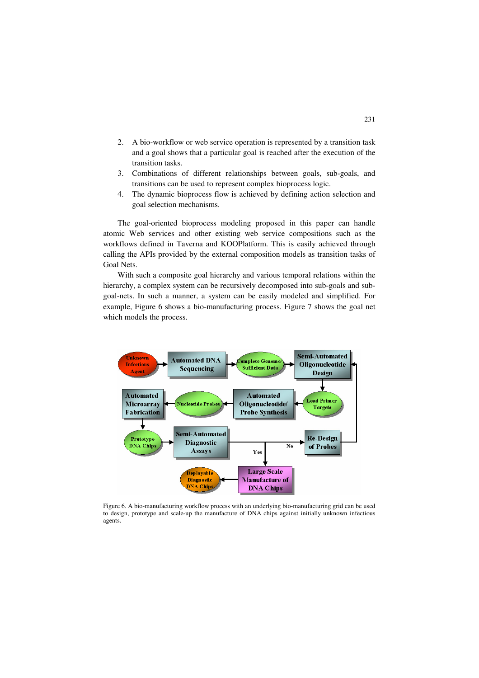- 2. A bio-workflow or web service operation is represented by a transition task and a goal shows that a particular goal is reached after the execution of the transition tasks.
- 3. Combinations of different relationships between goals, sub-goals, and transitions can be used to represent complex bioprocess logic.
- 4. The dynamic bioprocess flow is achieved by defining action selection and goal selection mechanisms.

The goal-oriented bioprocess modeling proposed in this paper can handle atomic Web services and other existing web service compositions such as the workflows defined in Taverna and KOOPlatform. This is easily achieved through calling the APIs provided by the external composition models as transition tasks of Goal Nets.

With such a composite goal hierarchy and various temporal relations within the hierarchy, a complex system can be recursively decomposed into sub-goals and subgoal-nets. In such a manner, a system can be easily modeled and simplified. For example, Figure 6 shows a bio-manufacturing process. Figure 7 shows the goal net which models the process.



Figure 6. A bio-manufacturing workflow process with an underlying bio-manufacturing grid can be used to design, prototype and scale-up the manufacture of DNA chips against initially unknown infectious agents.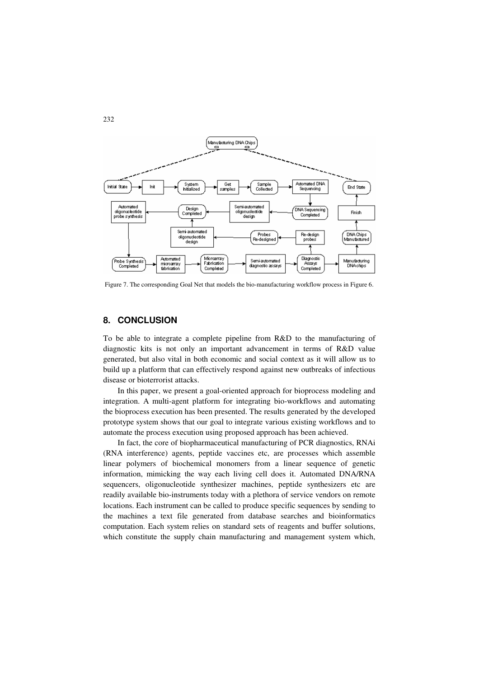

Figure 7. The corresponding Goal Net that models the bio-manufacturing workflow process in Figure 6.

### **8. CONCLUSION**

To be able to integrate a complete pipeline from R&D to the manufacturing of diagnostic kits is not only an important advancement in terms of R&D value generated, but also vital in both economic and social context as it will allow us to build up a platform that can effectively respond against new outbreaks of infectious disease or bioterrorist attacks.

In this paper, we present a goal-oriented approach for bioprocess modeling and integration. A multi-agent platform for integrating bio-workflows and automating the bioprocess execution has been presented. The results generated by the developed prototype system shows that our goal to integrate various existing workflows and to automate the process execution using proposed approach has been achieved.

In fact, the core of biopharmaceutical manufacturing of PCR diagnostics, RNAi (RNA interference) agents, peptide vaccines etc, are processes which assemble linear polymers of biochemical monomers from a linear sequence of genetic information, mimicking the way each living cell does it. Automated DNA/RNA sequencers, oligonucleotide synthesizer machines, peptide synthesizers etc are readily available bio-instruments today with a plethora of service vendors on remote locations. Each instrument can be called to produce specific sequences by sending to the machines a text file generated from database searches and bioinformatics computation. Each system relies on standard sets of reagents and buffer solutions, which constitute the supply chain manufacturing and management system which,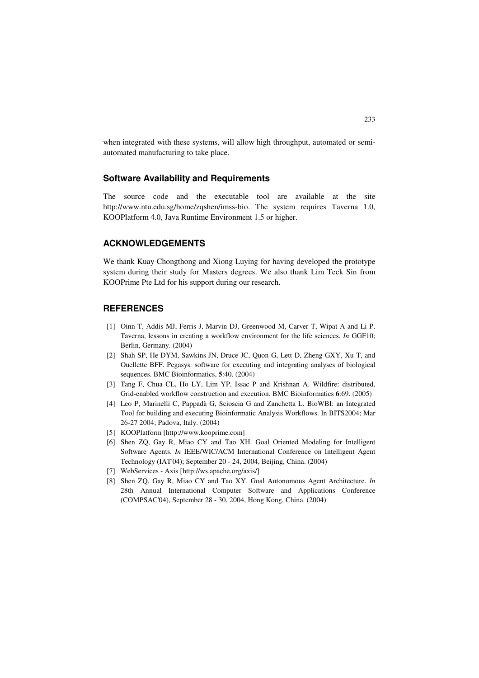when integrated with these systems, will allow high throughput, automated or semiautomated manufacturing to take place.

### **Software Availability and Requirements**

The source code and the executable tool are available at the site http://www.ntu.edu.sg/home/zqshen/imss-bio. The system requires Taverna 1.0, KOOPlatform 4.0, Java Runtime Environment 1.5 or higher.

## **ACKNOWLEDGEMENTS**

We thank Kuay Chongthong and Xiong Luying for having developed the prototype system during their study for Masters degrees. We also thank Lim Teck Sin from KOOPrime Pte Ltd for his support during our research.

#### **REFERENCES**

- [1] Oinn T, Addis MJ, Ferris J, Marvin DJ, Greenwood M, Carver T, Wipat A and Li P. Taverna, lessons in creating a workflow environment for the life sciences. *In* GGF10; Berlin, Germany. (2004)
- [2] Shah SP, He DYM, Sawkins JN, Druce JC, Quon G, Lett D, Zheng GXY, Xu T, and Ouellette BFF. Pegasys: software for executing and integrating analyses of biological sequences. BMC Bioinformatics, **5**:40. (2004)
- [3] Tang F, Chua CL, Ho LY, Lim YP, Issac P and Krishnan A. Wildfire: distributed, Grid-enabled workflow construction and execution. BMC Bioinformatics **6**:69. (2005)
- [4] Leo P, Marinelli C, Pappadà G, Scioscia G and Zanchetta L. BioWBI: an Integrated Tool for building and executing Bioinformatic Analysis Workflows. In BITS2004; Mar 26-27 2004; Padova, Italy. (2004)
- [5] KOOPlatform [http://www.kooprime.com]
- [6] Shen ZQ, Gay R, Miao CY and Tao XH. Goal Oriented Modeling for Intelligent Software Agents. *In* IEEE/WIC/ACM International Conference on Intelligent Agent Technology (IAT'04); September 20 - 24, 2004, Beijing, China. (2004)
- [7] WebServices Axis [http://ws.apache.org/axis/]
- [8] Shen ZQ, Gay R, Miao CY and Tao XY. Goal Autonomous Agent Architecture. *In* 28th Annual International Computer Software and Applications Conference (COMPSAC'04), September 28 - 30, 2004, Hong Kong, China. (2004)